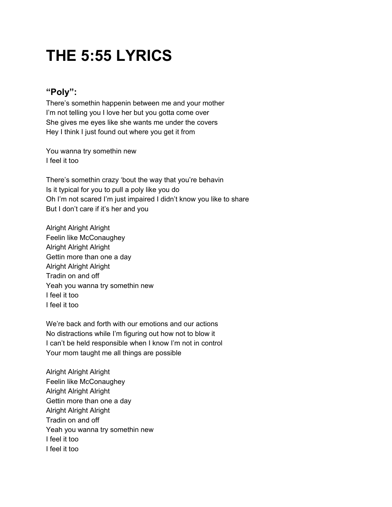# **THE 5:55 LYRICS**

## **"Poly":**

There's somethin happenin between me and your mother I'm not telling you I love her but you gotta come over She gives me eyes like she wants me under the covers Hey I think I just found out where you get it from

You wanna try somethin new I feel it too

There's somethin crazy 'bout the way that you're behavin Is it typical for you to pull a poly like you do Oh I'm not scared I'm just impaired I didn't know you like to share But I don't care if it's her and you

Alright Alright Alright Feelin like McConaughey Alright Alright Alright Gettin more than one a day Alright Alright Alright Tradin on and off Yeah you wanna try somethin new I feel it too I feel it too

We're back and forth with our emotions and our actions No distractions while I'm figuring out how not to blow it I can't be held responsible when I know I'm not in control Your mom taught me all things are possible

Alright Alright Alright Feelin like McConaughey Alright Alright Alright Gettin more than one a day Alright Alright Alright Tradin on and off Yeah you wanna try somethin new I feel it too I feel it too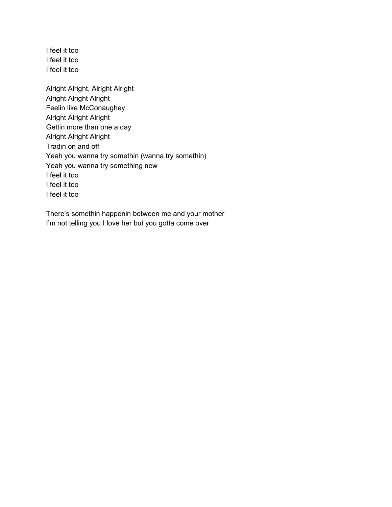I feel it too I feel it too I feel it too

Alright Alright, Alright Alright Alright Alright Alright Feelin like McConaughey Alright Alright Alright Gettin more than one a day Alright Alright Alright Tradin on and off Yeah you wanna try somethin (wanna try somethin) Yeah you wanna try something new I feel it too I feel it too I feel it too

There's somethin happenin between me and your mother I'm not telling you I love her but you gotta come over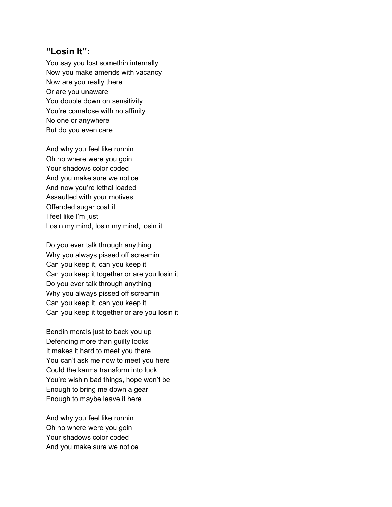#### **"Losin It":**

You say you lost somethin internally Now you make amends with vacancy Now are you really there Or are you unaware You double down on sensitivity You're comatose with no affinity No one or anywhere But do you even care

And why you feel like runnin Oh no where were you goin Your shadows color coded And you make sure we notice And now you're lethal loaded Assaulted with your motives Offended sugar coat it I feel like I'm just Losin my mind, losin my mind, losin it

Do you ever talk through anything Why you always pissed off screamin Can you keep it, can you keep it Can you keep it together or are you losin it Do you ever talk through anything Why you always pissed off screamin Can you keep it, can you keep it Can you keep it together or are you losin it

Bendin morals just to back you up Defending more than guilty looks It makes it hard to meet you there You can't ask me now to meet you here Could the karma transform into luck You're wishin bad things, hope won't be Enough to bring me down a gear Enough to maybe leave it here

And why you feel like runnin Oh no where were you goin Your shadows color coded And you make sure we notice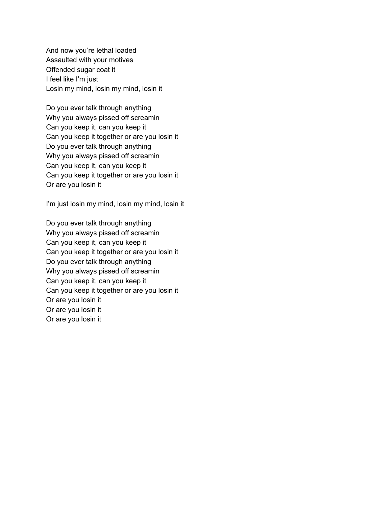And now you're lethal loaded Assaulted with your motives Offended sugar coat it I feel like I'm just Losin my mind, losin my mind, losin it

Do you ever talk through anything Why you always pissed off screamin Can you keep it, can you keep it Can you keep it together or are you losin it Do you ever talk through anything Why you always pissed off screamin Can you keep it, can you keep it Can you keep it together or are you losin it Or are you losin it

I'm just losin my mind, losin my mind, losin it

Do you ever talk through anything Why you always pissed off screamin Can you keep it, can you keep it Can you keep it together or are you losin it Do you ever talk through anything Why you always pissed off screamin Can you keep it, can you keep it Can you keep it together or are you losin it Or are you losin it Or are you losin it Or are you losin it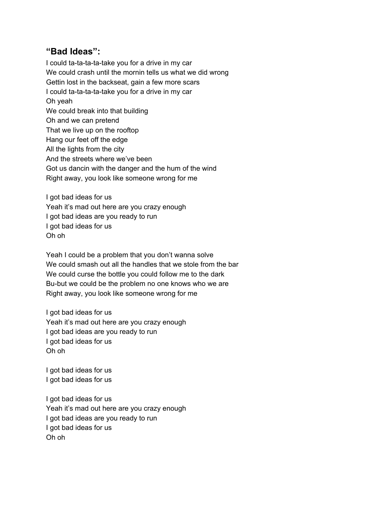## **"Bad Ideas":**

I could ta-ta-ta-ta-take you for a drive in my car We could crash until the mornin tells us what we did wrong Gettin lost in the backseat, gain a few more scars I could ta-ta-ta-ta-take you for a drive in my car Oh yeah We could break into that building Oh and we can pretend That we live up on the rooftop Hang our feet off the edge All the lights from the city And the streets where we've been Got us dancin with the danger and the hum of the wind Right away, you look like someone wrong for me

I got bad ideas for us Yeah it's mad out here are you crazy enough I got bad ideas are you ready to run I got bad ideas for us Oh oh

Yeah I could be a problem that you don't wanna solve We could smash out all the handles that we stole from the bar We could curse the bottle you could follow me to the dark Bu-but we could be the problem no one knows who we are Right away, you look like someone wrong for me

I got bad ideas for us Yeah it's mad out here are you crazy enough I got bad ideas are you ready to run I got bad ideas for us Oh oh

I got bad ideas for us I got bad ideas for us

I got bad ideas for us Yeah it's mad out here are you crazy enough I got bad ideas are you ready to run I got bad ideas for us Oh oh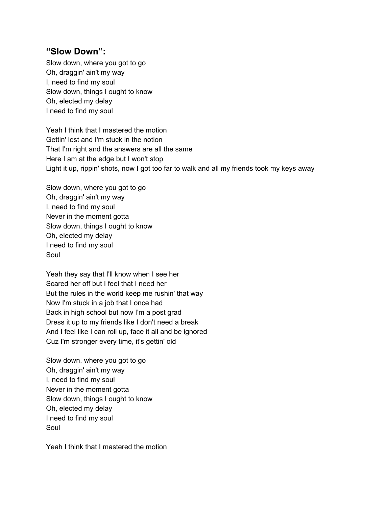## **"Slow Down":**

Slow down, where you got to go Oh, draggin' ain't my way I, need to find my soul Slow down, things I ought to know Oh, elected my delay I need to find my soul

Yeah I think that I mastered the motion Gettin' lost and I'm stuck in the notion That I'm right and the answers are all the same Here I am at the edge but I won't stop Light it up, rippin' shots, now I got too far to walk and all my friends took my keys away

Slow down, where you got to go Oh, draggin' ain't my way I, need to find my soul Never in the moment gotta Slow down, things I ought to know Oh, elected my delay I need to find my soul Soul

Yeah they say that I'll know when I see her Scared her off but I feel that I need her But the rules in the world keep me rushin' that way Now I'm stuck in a job that I once had Back in high school but now I'm a post grad Dress it up to my friends like I don't need a break And I feel like I can roll up, face it all and be ignored Cuz I'm stronger every time, it's gettin' old

Slow down, where you got to go Oh, draggin' ain't my way I, need to find my soul Never in the moment gotta Slow down, things I ought to know Oh, elected my delay I need to find my soul Soul

Yeah I think that I mastered the motion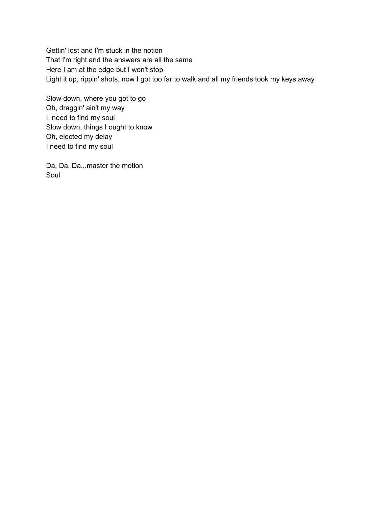Gettin' lost and I'm stuck in the notion That I'm right and the answers are all the same Here I am at the edge but I won't stop Light it up, rippin' shots, now I got too far to walk and all my friends took my keys away

Slow down, where you got to go Oh, draggin' ain't my way I, need to find my soul Slow down, things I ought to know Oh, elected my delay I need to find my soul

Da, Da, Da...master the motion Soul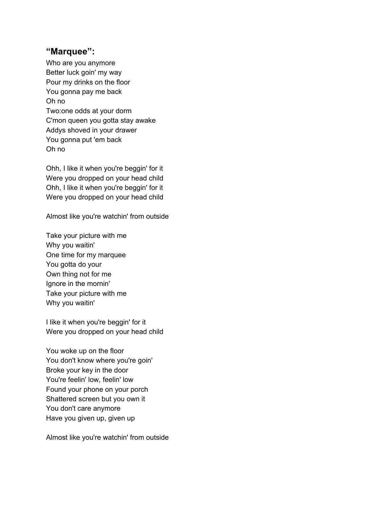#### **"Marquee":**

Who are you anymore Better luck goin' my way Pour my drinks on the floor You gonna pay me back Oh no Two:one odds at your dorm C'mon queen you gotta stay awake Addys shoved in your drawer You gonna put 'em back Oh no

Ohh, I like it when you're beggin' for it Were you dropped on your head child Ohh, I like it when you're beggin' for it Were you dropped on your head child

Almost like you're watchin' from outside

Take your picture with me Why you waitin' One time for my marquee You gotta do your Own thing not for me Ignore in the mornin' Take your picture with me Why you waitin'

I like it when you're beggin' for it Were you dropped on your head child

You woke up on the floor You don't know where you're goin' Broke your key in the door You're feelin' low, feelin' low Found your phone on your porch Shattered screen but you own it You don't care anymore Have you given up, given up

Almost like you're watchin' from outside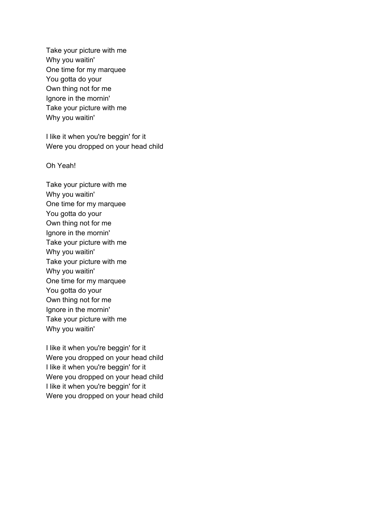Take your picture with me Why you waitin' One time for my marquee You gotta do your Own thing not for me Ignore in the mornin' Take your picture with me Why you waitin'

I like it when you're beggin' for it Were you dropped on your head child

Oh Yeah!

Take your picture with me Why you waitin' One time for my marquee You gotta do your Own thing not for me Ignore in the mornin' Take your picture with me Why you waitin' Take your picture with me Why you waitin' One time for my marquee You gotta do your Own thing not for me Ignore in the mornin' Take your picture with me Why you waitin'

I like it when you're beggin' for it Were you dropped on your head child I like it when you're beggin' for it Were you dropped on your head child I like it when you're beggin' for it Were you dropped on your head child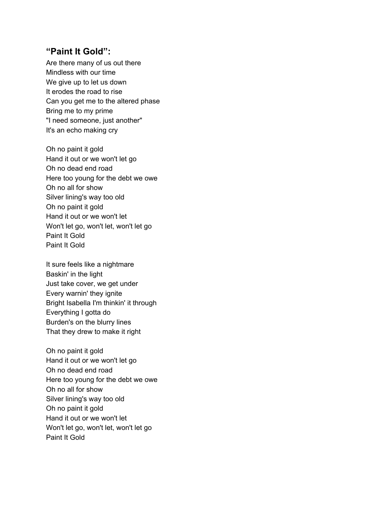#### **"Paint It Gold":**

Are there many of us out there Mindless with our time We give up to let us down It erodes the road to rise Can you get me to the altered phase Bring me to my prime "I need someone, just another" It's an echo making cry

Oh no paint it gold Hand it out or we won't let go Oh no dead end road Here too young for the debt we owe Oh no all for show Silver lining's way too old Oh no paint it gold Hand it out or we won't let Won't let go, won't let, won't let go Paint It Gold Paint It Gold

It sure feels like a nightmare Baskin' in the light Just take cover, we get under Every warnin' they ignite Bright Isabella I'm thinkin' it through Everything I gotta do Burden's on the blurry lines That they drew to make it right

Oh no paint it gold Hand it out or we won't let go Oh no dead end road Here too young for the debt we owe Oh no all for show Silver lining's way too old Oh no paint it gold Hand it out or we won't let Won't let go, won't let, won't let go Paint It Gold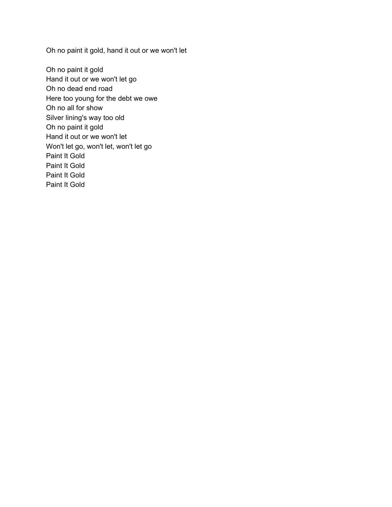Oh no paint it gold, hand it out or we won't let

Oh no paint it gold Hand it out or we won't let go Oh no dead end road Here too young for the debt we owe Oh no all for show Silver lining's way too old Oh no paint it gold Hand it out or we won't let Won't let go, won't let, won't let go Paint It Gold Paint It Gold Paint It Gold Paint It Gold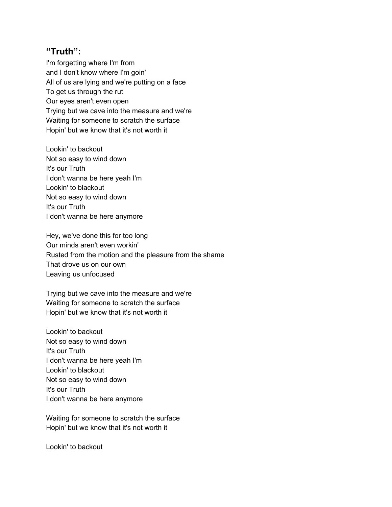## **"Truth":**

I'm forgetting where I'm from and I don't know where I'm goin' All of us are lying and we're putting on a face To get us through the rut Our eyes aren't even open Trying but we cave into the measure and we're Waiting for someone to scratch the surface Hopin' but we know that it's not worth it

Lookin' to backout Not so easy to wind down It's our Truth I don't wanna be here yeah I'm Lookin' to blackout Not so easy to wind down It's our Truth I don't wanna be here anymore

Hey, we've done this for too long Our minds aren't even workin' Rusted from the motion and the pleasure from the shame That drove us on our own Leaving us unfocused

Trying but we cave into the measure and we're Waiting for someone to scratch the surface Hopin' but we know that it's not worth it

Lookin' to backout Not so easy to wind down It's our Truth I don't wanna be here yeah I'm Lookin' to blackout Not so easy to wind down It's our Truth I don't wanna be here anymore

Waiting for someone to scratch the surface Hopin' but we know that it's not worth it

Lookin' to backout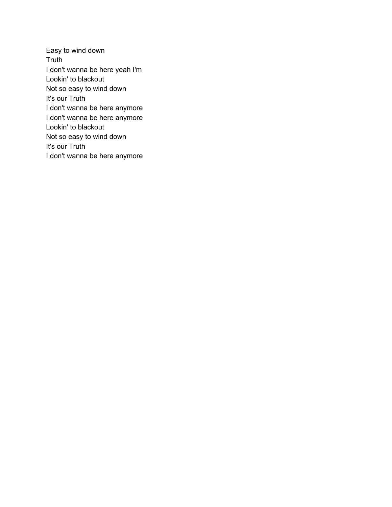Easy to wind down Truth I don't wanna be here yeah I'm Lookin' to blackout Not so easy to wind down It's our Truth I don't wanna be here anymore I don't wanna be here anymore Lookin' to blackout Not so easy to wind down It's our Truth I don't wanna be here anymore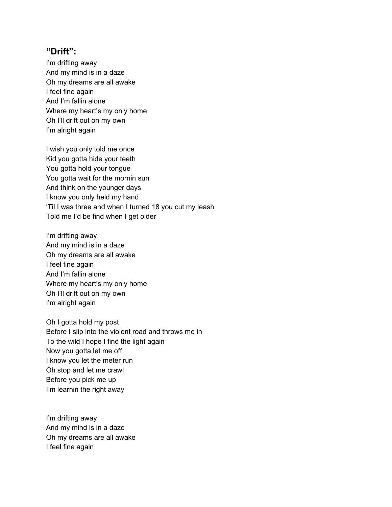#### **"Drift":**

I'm drifting away And my mind is in a daze Oh my dreams are all awake I feel fine again And I'm fallin alone Where my heart's my only home Oh I'll drift out on my own I'm alright again

I wish you only told me once Kid you gotta hide your teeth You gotta hold your tongue You gotta wait for the mornin sun And think on the younger days I know you only held my hand 'Til I was three and when I turned 18 you cut my leash Told me I'd be find when I get older

I'm drifting away And my mind is in a daze Oh my dreams are all awake I feel fine again And I'm fallin alone Where my heart's my only home Oh I'll drift out on my own I'm alright again

Oh I gotta hold my post Before I slip into the violent road and throws me in To the wild I hope I find the light again Now you gotta let me off I know you let the meter run Oh stop and let me crawl Before you pick me up I'm learnin the right away

I'm drifting away And my mind is in a daze Oh my dreams are all awake I feel fine again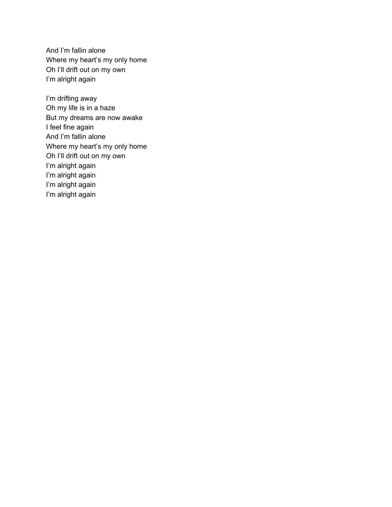And I'm fallin alone Where my heart's my only home Oh I'll drift out on my own I'm alright again

I'm drifting away Oh my life is in a haze But my dreams are now awake I feel fine again And I'm fallin alone Where my heart's my only home Oh I'll drift out on my own I'm alright again I'm alright again I'm alright again I'm alright again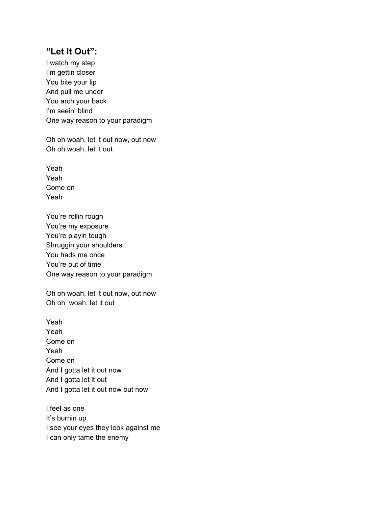#### **"Let It Out":**

I watch my step I'm gettin closer You bite your lip And pull me under You arch your back I'm seein' blind One way reason to your paradigm

Oh oh woah, let it out now, out now Oh oh woah, let it out

Yeah Yeah Come on Yeah

You're rollin rough You're my exposure You're playin tough Shruggin your shoulders You hads me once You're out of time One way reason to your paradigm

Oh oh woah, let it out now, out now Oh oh woah, let it out

Yeah Yeah Come on Yeah Come on And I gotta let it out now And I gotta let it out And I gotta let it out now out now

I feel as one It's burnin up I see your eyes they look against me I can only tame the enemy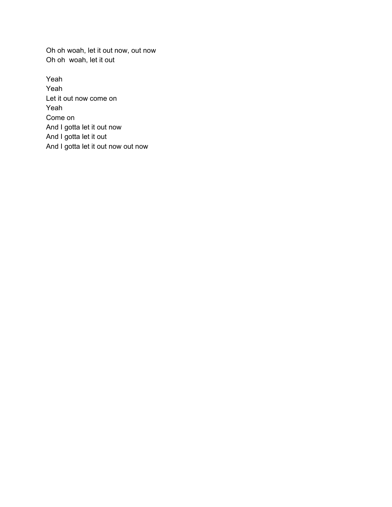Oh oh woah, let it out now, out now Oh oh woah, let it out

Yeah Yeah Let it out now come on Yeah Come on And I gotta let it out now And I gotta let it out And I gotta let it out now out now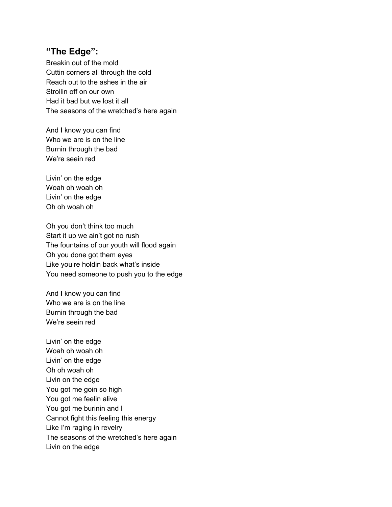## **"The Edge":**

Breakin out of the mold Cuttin corners all through the cold Reach out to the ashes in the air Strollin off on our own Had it bad but we lost it all The seasons of the wretched's here again

And I know you can find Who we are is on the line Burnin through the bad We're seein red

Livin' on the edge Woah oh woah oh Livin' on the edge Oh oh woah oh

Oh you don't think too much Start it up we ain't got no rush The fountains of our youth will flood again Oh you done got them eyes Like you're holdin back what's inside You need someone to push you to the edge

And I know you can find Who we are is on the line Burnin through the bad We're seein red

Livin' on the edge Woah oh woah oh Livin' on the edge Oh oh woah oh Livin on the edge You got me goin so high You got me feelin alive You got me burinin and I Cannot fight this feeling this energy Like I'm raging in revelry The seasons of the wretched's here again Livin on the edge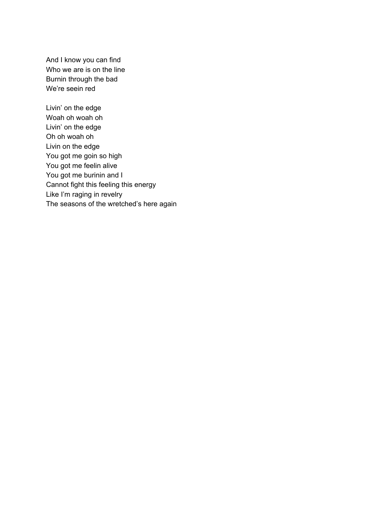And I know you can find Who we are is on the line Burnin through the bad We're seein red

Livin' on the edge Woah oh woah oh Livin' on the edge Oh oh woah oh Livin on the edge You got me goin so high You got me feelin alive You got me burinin and I Cannot fight this feeling this energy Like I'm raging in revelry The seasons of the wretched's here again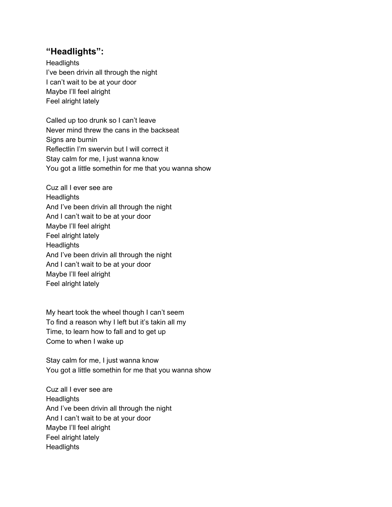# **"Headlights":**

**Headlights** I've been drivin all through the night I can't wait to be at your door Maybe I'll feel alright Feel alright lately

Called up too drunk so I can't leave Never mind threw the cans in the backseat Signs are burnin Reflectlin I'm swervin but I will correct it Stay calm for me, I just wanna know You got a little somethin for me that you wanna show

Cuz all I ever see are **Headlights** And I've been drivin all through the night And I can't wait to be at your door Maybe I'll feel alright Feel alright lately **Headlights** And I've been drivin all through the night And I can't wait to be at your door Maybe I'll feel alright Feel alright lately

My heart took the wheel though I can't seem To find a reason why I left but it's takin all my Time, to learn how to fall and to get up Come to when I wake up

Stay calm for me, I just wanna know You got a little somethin for me that you wanna show

Cuz all I ever see are **Headlights** And I've been drivin all through the night And I can't wait to be at your door Maybe I'll feel alright Feel alright lately **Headlights**